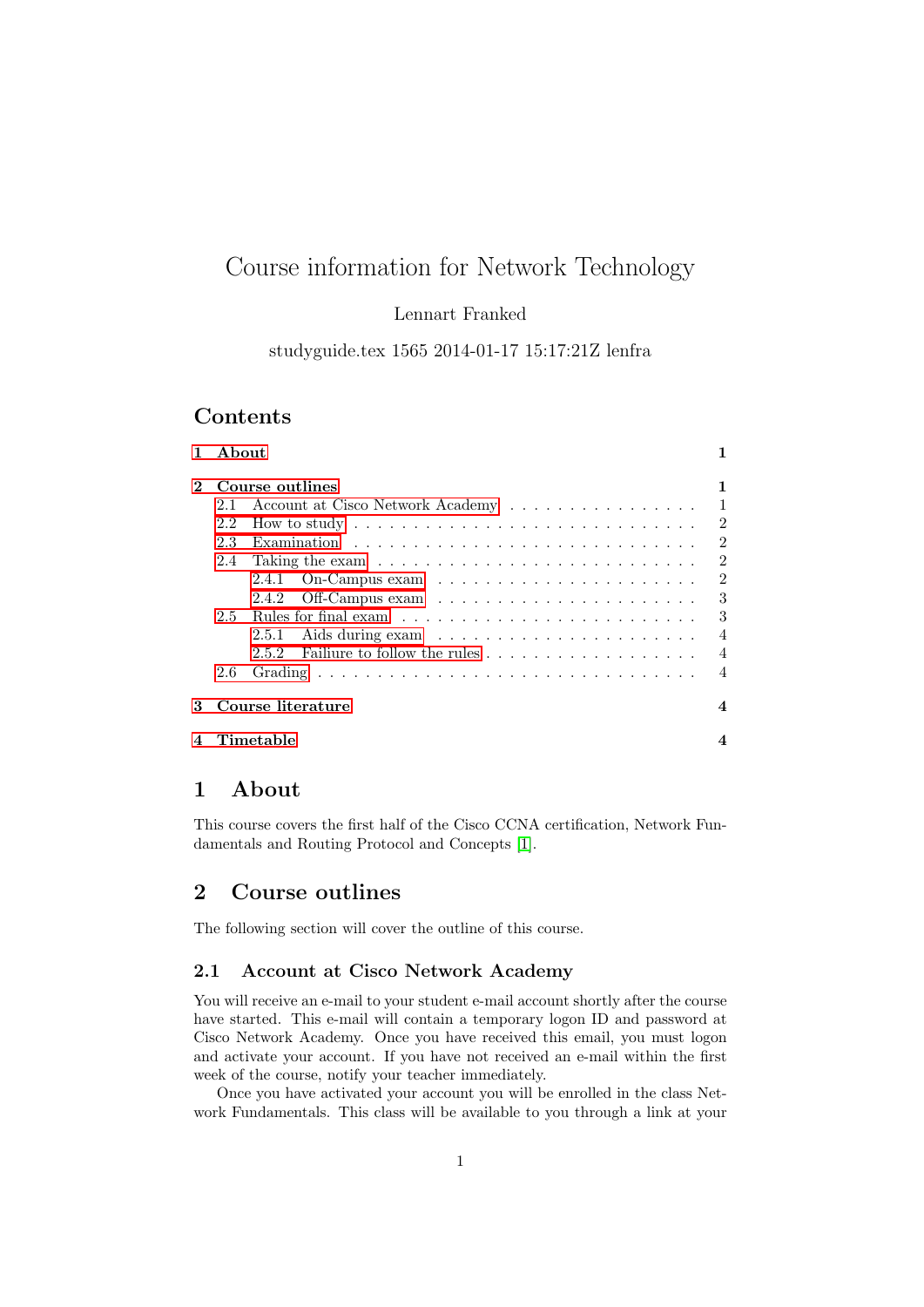# Course information for Network Technology

Lennart Franked

studyguide.tex 1565 2014-01-17 15:17:21Z lenfra

### Contents

| $\mathbf{1}$   | About                                        |                                                                                      |                |
|----------------|----------------------------------------------|--------------------------------------------------------------------------------------|----------------|
| $\overline{2}$ | Course outlines                              |                                                                                      |                |
|                | 2.1                                          | Account at Cisco Network Academy                                                     | $\overline{1}$ |
|                | 2.2                                          | How to study $\ldots \ldots \ldots \ldots \ldots \ldots \ldots \ldots \ldots \ldots$ | $\overline{2}$ |
|                | 2.3                                          |                                                                                      | $\overline{2}$ |
|                | 2.4                                          |                                                                                      | $\overline{2}$ |
|                |                                              | On-Campus exam $\dots \dots \dots \dots \dots \dots \dots \dots$<br>2.4.1            | $\overline{2}$ |
|                |                                              | 2.4.2                                                                                | 3              |
|                | 2.5                                          |                                                                                      | -3             |
|                |                                              | 2.5.1                                                                                | $\overline{4}$ |
|                |                                              | 2.5.2                                                                                | $\overline{4}$ |
|                | 2.6                                          |                                                                                      | $\overline{4}$ |
| 3              | Course literature<br>$\overline{\mathbf{4}}$ |                                                                                      |                |
|                | Timetable                                    |                                                                                      |                |

### <span id="page-0-0"></span>1 About

This course covers the first half of the Cisco CCNA certification, Network Fundamentals and Routing Protocol and Concepts [\[1\]](#page-3-5).

## <span id="page-0-1"></span>2 Course outlines

The following section will cover the outline of this course.

### <span id="page-0-2"></span>2.1 Account at Cisco Network Academy

You will receive an e-mail to your student e-mail account shortly after the course have started. This e-mail will contain a temporary logon ID and password at Cisco Network Academy. Once you have received this email, you must logon and activate your account. If you have not received an e-mail within the first week of the course, notify your teacher immediately.

Once you have activated your account you will be enrolled in the class Network Fundamentals. This class will be available to you through a link at your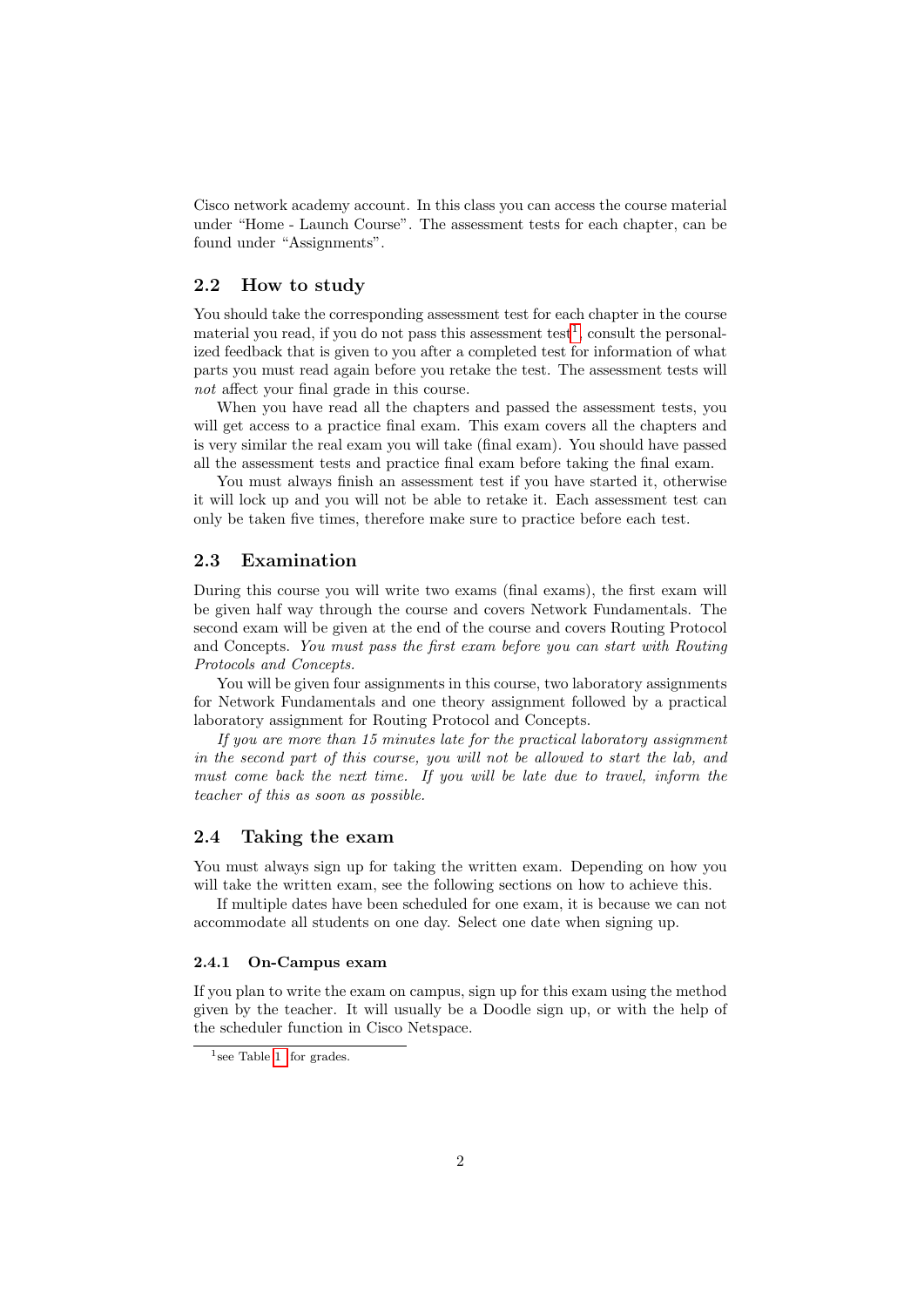Cisco network academy account. In this class you can access the course material under "Home - Launch Course". The assessment tests for each chapter, can be found under "Assignments".

### <span id="page-1-0"></span>2.2 How to study

You should take the corresponding assessment test for each chapter in the course material you read, if you do not pass this assessment test<sup>[1](#page-1-4)</sup>, consult the personalized feedback that is given to you after a completed test for information of what parts you must read again before you retake the test. The assessment tests will not affect your final grade in this course.

When you have read all the chapters and passed the assessment tests, you will get access to a practice final exam. This exam covers all the chapters and is very similar the real exam you will take (final exam). You should have passed all the assessment tests and practice final exam before taking the final exam.

You must always finish an assessment test if you have started it, otherwise it will lock up and you will not be able to retake it. Each assessment test can only be taken five times, therefore make sure to practice before each test.

#### <span id="page-1-1"></span>2.3 Examination

During this course you will write two exams (final exams), the first exam will be given half way through the course and covers Network Fundamentals. The second exam will be given at the end of the course and covers Routing Protocol and Concepts. You must pass the first exam before you can start with Routing Protocols and Concepts.

You will be given four assignments in this course, two laboratory assignments for Network Fundamentals and one theory assignment followed by a practical laboratory assignment for Routing Protocol and Concepts.

If you are more than 15 minutes late for the practical laboratory assignment in the second part of this course, you will not be allowed to start the lab, and must come back the next time. If you will be late due to travel, inform the teacher of this as soon as possible.

#### <span id="page-1-2"></span>2.4 Taking the exam

You must always sign up for taking the written exam. Depending on how you will take the written exam, see the following sections on how to achieve this.

If multiple dates have been scheduled for one exam, it is because we can not accommodate all students on one day. Select one date when signing up.

#### <span id="page-1-3"></span>2.4.1 On-Campus exam

If you plan to write the exam on campus, sign up for this exam using the method given by the teacher. It will usually be a Doodle sign up, or with the help of the scheduler function in Cisco Netspace.

<span id="page-1-4"></span><sup>&</sup>lt;sup>1</sup> see Table [1](#page-3-6) for grades.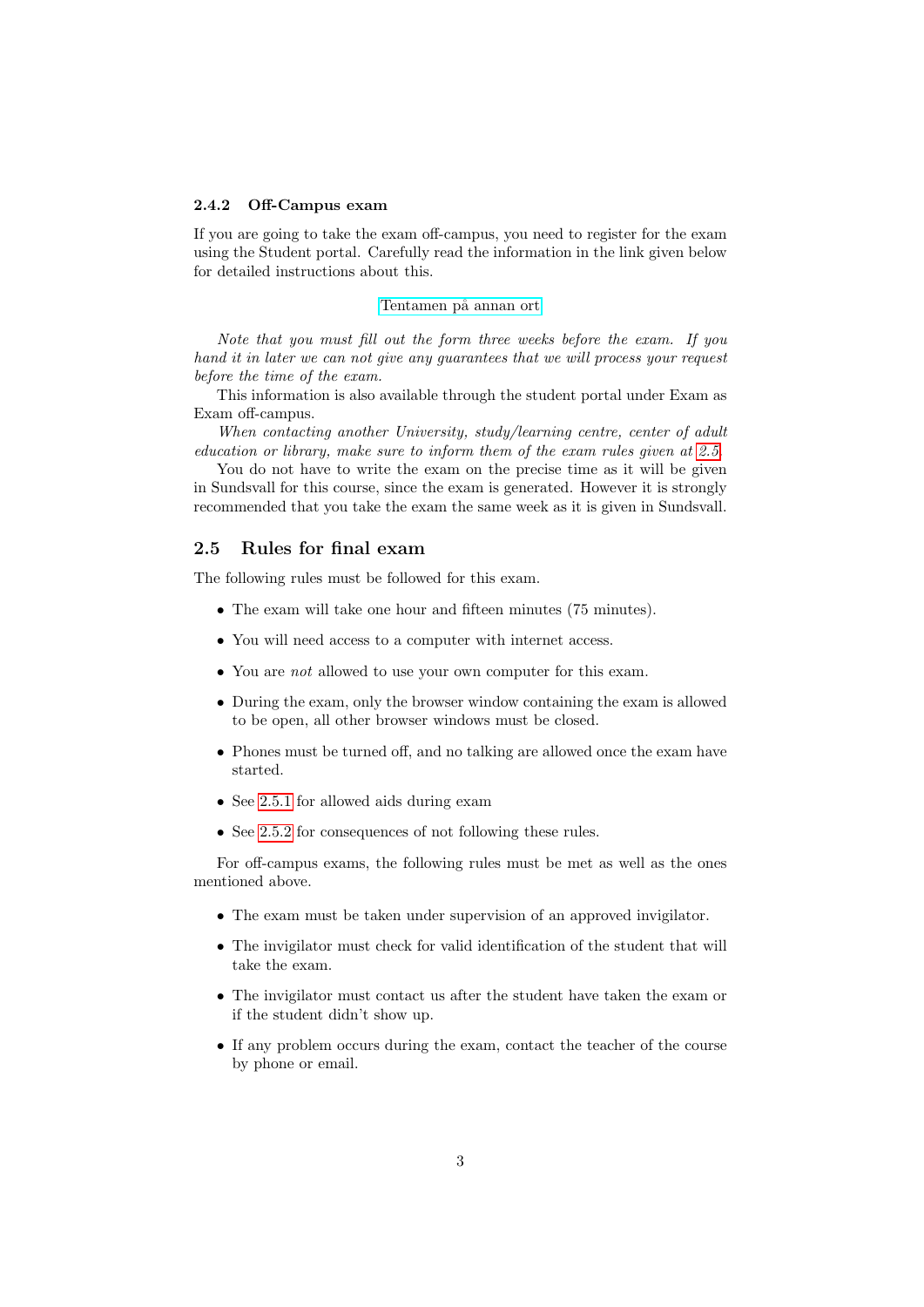#### <span id="page-2-0"></span>2.4.2 Off-Campus exam

If you are going to take the exam off-campus, you need to register for the exam using the Student portal. Carefully read the information in the link given below for detailed instructions about this.

#### Tentamen på annan ort

Note that you must fill out the form three weeks before the exam. If you hand it in later we can not give any guarantees that we will process your request before the time of the exam.

This information is also available through the student portal under Exam as Exam off-campus.

When contacting another University, study/learning centre, center of adult education or library, make sure to inform them of the exam rules given at [2.5.](#page-2-1)

You do not have to write the exam on the precise time as it will be given in Sundsvall for this course, since the exam is generated. However it is strongly recommended that you take the exam the same week as it is given in Sundsvall.

#### <span id="page-2-1"></span>2.5 Rules for final exam

The following rules must be followed for this exam.

- The exam will take one hour and fifteen minutes (75 minutes).
- You will need access to a computer with internet access.
- You are *not* allowed to use your own computer for this exam.
- During the exam, only the browser window containing the exam is allowed to be open, all other browser windows must be closed.
- Phones must be turned off, and no talking are allowed once the exam have started.
- See [2.5.1](#page-3-0) for allowed aids during exam
- See [2.5.2](#page-3-1) for consequences of not following these rules.

For off-campus exams, the following rules must be met as well as the ones mentioned above.

- The exam must be taken under supervision of an approved invigilator.
- The invigilator must check for valid identification of the student that will take the exam.
- The invigilator must contact us after the student have taken the exam or if the student didn't show up.
- If any problem occurs during the exam, contact the teacher of the course by phone or email.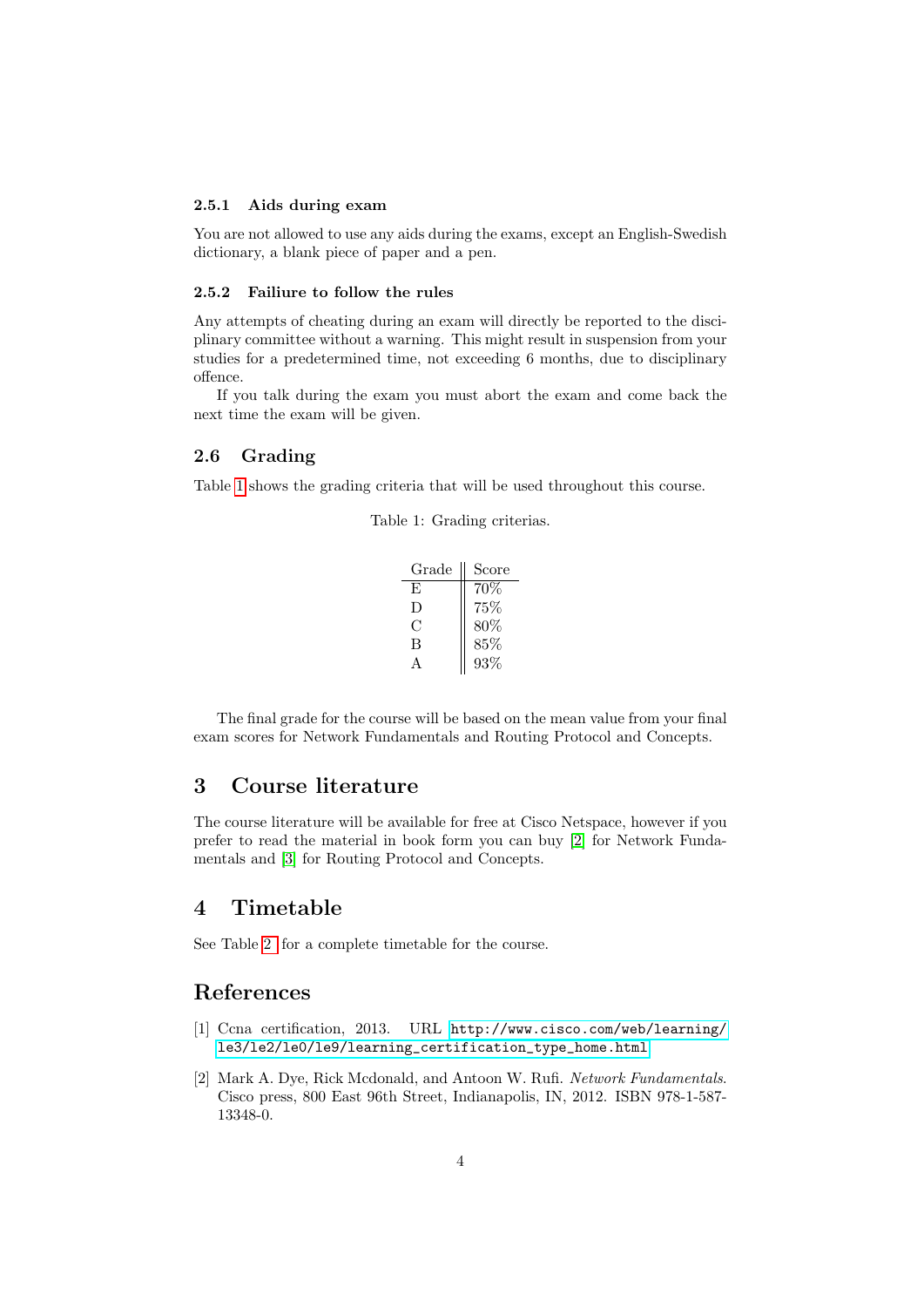#### <span id="page-3-0"></span>2.5.1 Aids during exam

You are not allowed to use any aids during the exams, except an English-Swedish dictionary, a blank piece of paper and a pen.

#### <span id="page-3-1"></span>2.5.2 Failiure to follow the rules

Any attempts of cheating during an exam will directly be reported to the disciplinary committee without a warning. This might result in suspension from your studies for a predetermined time, not exceeding 6 months, due to disciplinary offence.

If you talk during the exam you must abort the exam and come back the next time the exam will be given.

#### <span id="page-3-2"></span>2.6 Grading

<span id="page-3-6"></span>Table [1](#page-3-6) shows the grading criteria that will be used throughout this course.

Table 1: Grading criterias.

| Grade | Score |
|-------|-------|
| E     | 70%   |
| Ð     | 75%   |
| C     | 80\%  |
| В     | 85%   |
|       | 93%   |

The final grade for the course will be based on the mean value from your final

# exam scores for Network Fundamentals and Routing Protocol and Concepts.

### <span id="page-3-3"></span>3 Course literature

The course literature will be available for free at Cisco Netspace, however if you prefer to read the material in book form you can buy [\[2\]](#page-3-7) for Network Fundamentals and [\[3\]](#page-4-0) for Routing Protocol and Concepts.

### <span id="page-3-4"></span>4 Timetable

See Table [2](#page-5-0) for a complete timetable for the course.

### References

- <span id="page-3-5"></span>[1] Ccna certification, 2013. URL [http://www.cisco.com/web/learning/](http://www.cisco.com/web/learning/le3/le2/le0/le9/learning_certification_type_home.html) [le3/le2/le0/le9/learning\\_certification\\_type\\_home.html](http://www.cisco.com/web/learning/le3/le2/le0/le9/learning_certification_type_home.html).
- <span id="page-3-7"></span>[2] Mark A. Dye, Rick Mcdonald, and Antoon W. Rufi. Network Fundamentals. Cisco press, 800 East 96th Street, Indianapolis, IN, 2012. ISBN 978-1-587- 13348-0.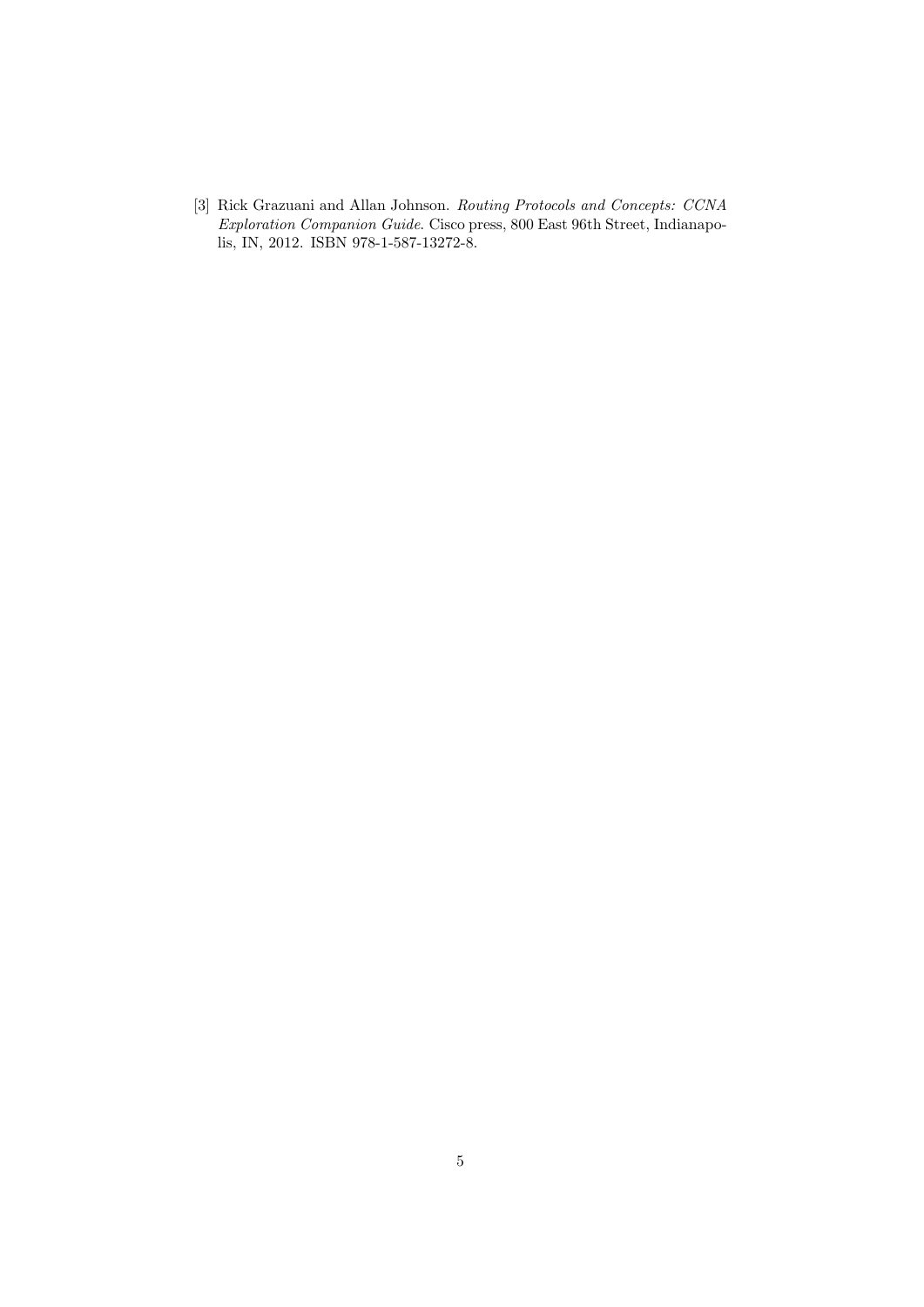<span id="page-4-0"></span>[3] Rick Grazuani and Allan Johnson. Routing Protocols and Concepts: CCNA Exploration Companion Guide. Cisco press, 800 East 96th Street, Indianapolis, IN, 2012. ISBN 978-1-587-13272-8.